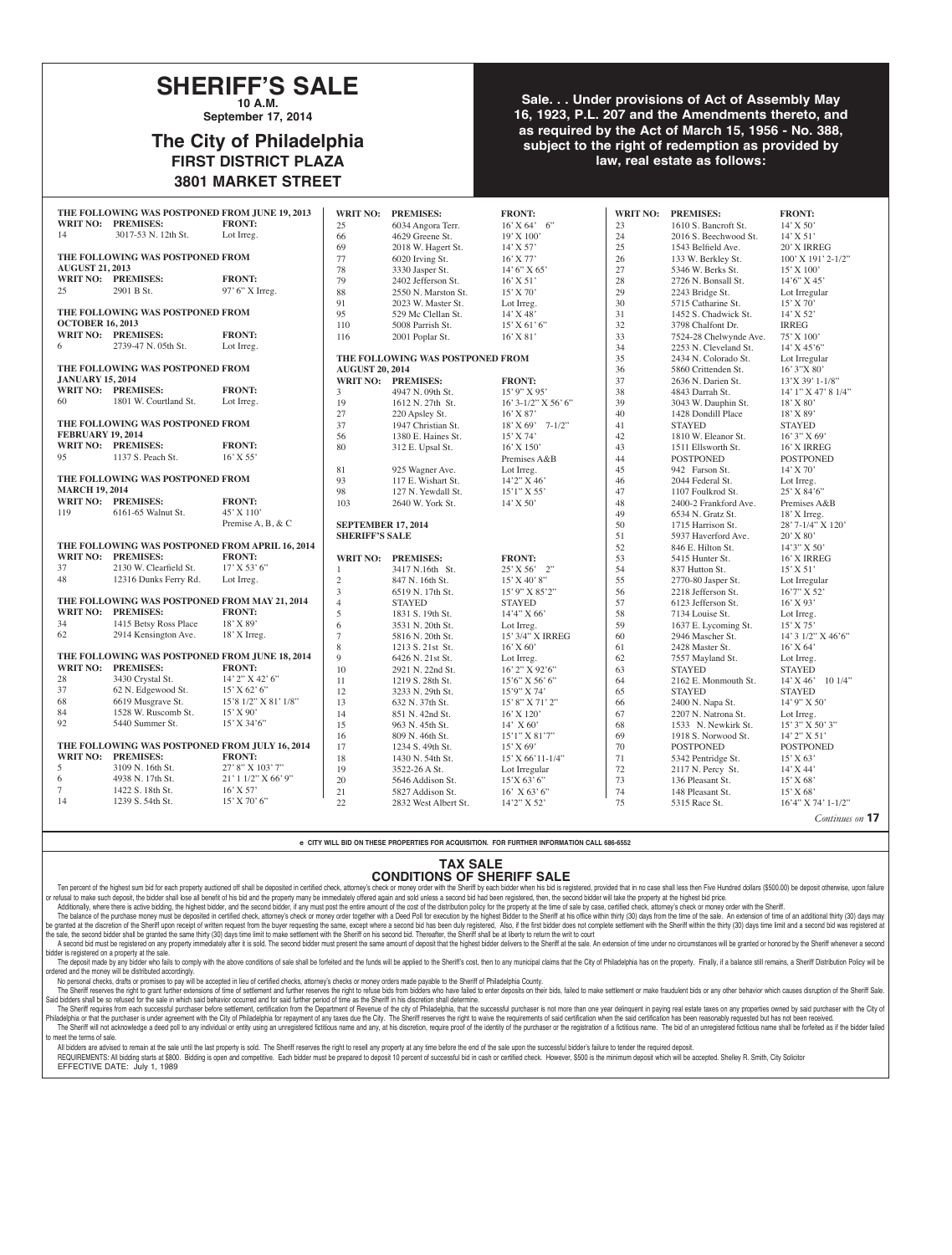## **SHERIFF'S SALE 10 A.M.**

**September 17, 2014**

# **The City of Philadelphia FIRST DISTRICT PLAZA 3801 MARKET STREET**

### **Sale. . . Under provisions of Act of Assembly May 16, 1923, P.L. 207 and the Amendments thereto, and as required by the Act of March 15, 1956 - No. 388, subject to the right of redemption as provided by law, real estate as follows:**

|                           | THE FOLLOWING WAS POSTPONED FROM JUNE 19, 2013 |                                                 | <b>WRIT NO:</b>                  | <b>PREMISES:</b>                         | <b>FRONT:</b>                 |          | WRIT NO: PREMISES:                      | <b>FRONT:</b>                         |
|---------------------------|------------------------------------------------|-------------------------------------------------|----------------------------------|------------------------------------------|-------------------------------|----------|-----------------------------------------|---------------------------------------|
| <b>WRIT NO: PREMISES:</b> |                                                | <b>FRONT:</b>                                   | 25                               | 6034 Angora Terr.                        | $16'$ X 64' 6"                | 23       | 1610 S. Bancroft St.                    | 14' X 50'                             |
| 14                        | 3017-53 N. 12th St.                            | Lot Irreg.                                      | 66                               | 4629 Greene St.                          | 19' X 100'                    | 24       | 2016 S. Beechwood St.                   | $14'$ X 51'                           |
|                           |                                                |                                                 | 69                               | 2018 W. Hagert St.                       | 14' X 57'                     | 25       | 1543 Belfield Ave.                      | 20' X IRREG                           |
|                           | THE FOLLOWING WAS POSTPONED FROM               |                                                 | 77                               | 6020 Irving St.                          | $16'$ X 77'                   | 26       | 133 W. Berkley St.                      | 100' X 191' 2-1/2"                    |
| <b>AUGUST 21, 2013</b>    |                                                |                                                 | 78                               | 3330 Jasper St.                          | 14' 6'' X 65'                 | $27\,$   | 5346 W. Berks St.                       | 15' X 100'                            |
| WRIT NO: PREMISES:        |                                                | <b>FRONT:</b>                                   | 79                               | 2402 Jefferson St.                       | $16'$ X 51'                   | 28       | 2726 N. Bonsall St.                     | 14'6" X 45'                           |
| 25                        | 2901 B St.                                     | 97' 6" X Irreg.                                 | 88                               | 2550 N. Marston St.                      | 15' X 70'                     | 29       | 2243 Bridge St.                         | Lot Irregular                         |
|                           |                                                |                                                 | 91                               | 2023 W. Master St.                       | Lot Irreg.                    | 30       | 5715 Catharine St.                      | 15' X 70'                             |
|                           | THE FOLLOWING WAS POSTPONED FROM               |                                                 | 95                               | 529 Mc Clellan St.                       | $14'$ X 48'                   | 31       | 1452 S. Chadwick St.                    | $14'$ X 52'                           |
| <b>OCTOBER 16, 2013</b>   |                                                |                                                 | 110                              | 5008 Parrish St.                         | 15' X 61' 6'                  | $32\,$   | 3798 Chalfont Dr.                       | <b>IRREG</b>                          |
| WRIT NO: PREMISES:        |                                                | <b>FRONT:</b>                                   | 116                              | 2001 Poplar St.                          | $16'$ X $81'$                 | 33       | 7524-28 Chelwynde Ave.                  | 75' X 100'                            |
| 6                         | 2739-47 N. 05th St.                            | Lot Irreg.                                      |                                  |                                          |                               | 34       | 2253 N. Cleveland St.                   | $14'$ X $45'6'$                       |
|                           |                                                |                                                 | THE FOLLOWING WAS POSTPONED FROM |                                          |                               | 35       | 2434 N. Colorado St.                    | Lot Irregular                         |
|                           | THE FOLLOWING WAS POSTPONED FROM               |                                                 | <b>AUGUST 20, 2014</b>           |                                          |                               | 36       | 5860 Crittenden St.                     | 16' 3"X 80'                           |
| <b>JANUARY 15, 2014</b>   |                                                |                                                 |                                  | WRIT NO: PREMISES:                       | <b>FRONT:</b>                 | 37       | 2636 N. Darien St.                      | 13'X 39' 1-1/8"                       |
| WRIT NO: PREMISES:        |                                                | <b>FRONT:</b>                                   | 3                                | 4947 N. 09th St.                         | $15'9''$ X 95'                | 38       | 4843 Darrah St.                         | 14' 1" X 47' 8 1/4"                   |
| 60                        | 1801 W. Courtland St.                          | Lot Irreg.                                      | 19                               | 1612 N. 27th St.                         | 16' 3-1/2" X 56' 6"           | 39       | 3043 W. Dauphin St.                     | 18' X 80'                             |
|                           |                                                |                                                 | 27                               | 220 Apsley St.                           | $16'$ X 87'                   | 40       | 1428 Dondill Place                      | 18' X 89'                             |
|                           | THE FOLLOWING WAS POSTPONED FROM               |                                                 | 37                               | 1947 Christian St.                       | $18'$ X 69' 7-1/2"            | 41       | <b>STAYED</b>                           | <b>STAYED</b>                         |
| <b>FEBRUARY 19, 2014</b>  |                                                |                                                 | 56                               | 1380 E. Haines St.                       | 15' X 74'                     | 42       | 1810 W. Eleanor St.                     | $16'3''$ X 69'                        |
| WRIT NO: PREMISES:        |                                                | <b>FRONT:</b>                                   | 80                               | 312 E. Upsal St.                         | $16'$ X $150'$                | 43       | 1511 Ellsworth St.                      | 16' X IRREG                           |
| 95                        | 1137 S. Peach St.                              | $16'$ X 55 <sup><math>\cdot</math></sup>        |                                  |                                          | Premises A&B                  | 44       | <b>POSTPONED</b>                        | <b>POSTPONED</b>                      |
|                           |                                                |                                                 | 81                               | 925 Wagner Ave.                          | Lot Irreg.                    | 45       | 942 Farson St.                          | $14'$ X 70'                           |
|                           | THE FOLLOWING WAS POSTPONED FROM               |                                                 | 93                               | 117 E. Wishart St.                       | 14'2" X 46'                   | 46       | 2044 Federal St.                        | Lot Irreg.                            |
| <b>MARCH 19, 2014</b>     |                                                |                                                 | 98                               | 127 N. Yewdall St.                       | $15'1''$ X 55'                | 47       | 1107 Foulkrod St.                       | 25' X 84'6"                           |
| WRIT NO: PREMISES:        |                                                | <b>FRONT:</b>                                   | 103                              | 2640 W. York St.                         | $14'$ X 50'                   | 48       | 2400-2 Frankford Ave.                   | Premises A&B                          |
| 119                       | 6161-65 Walnut St.                             | 45' X 110'                                      |                                  |                                          |                               | 49       | 6534 N. Gratz St.                       | 18' X Irreg.                          |
|                           |                                                | Premise A, B, & C                               | <b>SEPTEMBER 17, 2014</b>        |                                          |                               | 50       | 1715 Harrison St.                       | 28' 7-1/4" X 120'                     |
|                           |                                                |                                                 | <b>SHERIFF'S SALE</b>            |                                          |                               | 51       | 5937 Haverford Ave.                     | $20'$ X $80'$                         |
|                           |                                                | THE FOLLOWING WAS POSTPONED FROM APRIL 16, 2014 |                                  |                                          |                               | 52       | 846 E. Hilton St.                       | 14'3" X 50'                           |
| WRIT NO: PREMISES:        |                                                | <b>FRONT:</b>                                   | <b>WRIT NO:</b>                  | <b>PREMISES:</b>                         | <b>FRONT:</b>                 | 53       | 5415 Hunter St.                         | 16' X IRREG                           |
| 37                        | 2130 W. Clearfield St.                         |                                                 |                                  |                                          |                               | 54       | 837 Hutton St.                          | $15'$ X 51'                           |
| 48                        |                                                | $17'$ X 53' 6"                                  |                                  |                                          |                               |          |                                         |                                       |
|                           | 12316 Dunks Ferry Rd.                          | Lot Irreg.                                      | $\mathbf{1}$                     | 3417 N.16th St.                          | 25' X 56' 2"                  |          |                                         |                                       |
|                           |                                                |                                                 | $\sqrt{2}$                       | 847 N. 16th St.                          | $15'$ X 40' 8"                | 55       | 2770-80 Jasper St.                      | Lot Irregular                         |
|                           |                                                |                                                 | $\mathfrak{Z}$                   | 6519 N. 17th St.                         | 15' 9" X 85'2"                | 56       | 2218 Jefferson St.                      | 16'7" X 52'                           |
| WRIT NO: PREMISES:        | THE FOLLOWING WAS POSTPONED FROM MAY 21, 2014  | <b>FRONT:</b>                                   | $\overline{4}$                   | <b>STAYED</b>                            | <b>STAYED</b>                 | 57       | 6123 Jefferson St.                      | 16' X 93'                             |
| 34                        |                                                | 18' X 89'                                       | 5                                | 1831 S. 19th St.                         | 14'4" X 66'                   | 58       | 7134 Louise St.                         | Lot Irreg.                            |
| 62                        | 1415 Betsy Ross Place                          | $18'$ X Irreg.                                  | 6                                | 3531 N. 20th St.                         | Lot Irreg.                    | 59       | 1637 E. Lycoming St.                    | 15' X 75'                             |
|                           | 2914 Kensington Ave.                           |                                                 | $\overline{7}$                   | 5816 N. 20th St.                         | 15' 3/4" X IRREG              | 60       | 2946 Mascher St.                        | 14' 3 1/2" X 46'6"                    |
|                           |                                                |                                                 | 8                                | 1213 S. 21st St.                         | $16'$ X 60'                   | 61       | 2428 Master St.                         | 16' X 64'                             |
| WRIT NO: PREMISES:        | THE FOLLOWING WAS POSTPONED FROM JUNE 18, 2014 | <b>FRONT:</b>                                   | 9                                | 6426 N. 21st St.                         | Lot Irreg.                    | 62       | 7557 Mayland St.                        | Lot Irreg.                            |
| 28                        | 3430 Crystal St.                               | 14' 2" X 42' 6"                                 | $10\,$                           | 2921 N. 22nd St.                         | 16' 2" X 92'6"                | 63       | <b>STAYED</b>                           | <b>STAYED</b>                         |
| 37                        |                                                | $15'$ X 62' 6"                                  | 11                               | 1219 S. 28th St.                         | $15'6''$ X 56' 6"             | 64       | 2162 E. Monmouth St.                    | 14' X 46' 10 1/4"                     |
| 68                        | 62 N. Edgewood St.                             | 15'8 1/2" X 81' 1/8"                            | 12                               | 3233 N. 29th St.                         | 15'9" X 74'                   | 65       | <b>STAYED</b>                           | <b>STAYED</b>                         |
| 84                        | 6619 Musgrave St.<br>1528 W. Ruscomb St.       | 15' X 90'                                       | 13                               | 632 N. 37th St.                          | 15' 8" X 71' 2"               | 66<br>67 | 2400 N. Napa St.<br>2207 N. Natrona St. | 14' 9" X 50'                          |
| 92                        |                                                |                                                 | 14                               | 851 N. 42nd St.                          | $16'$ X $120'$                |          |                                         | Lot Irreg.                            |
|                           | 5440 Summer St.                                | 15' X 34'6"                                     | 15                               | 963 N. 45th St.                          | 14' X 60'                     | 68       | 1533 N. Newkirk St.                     | $15'3''$ X 50' 3'                     |
|                           | THE FOLLOWING WAS POSTPONED FROM JULY 16, 2014 |                                                 | 16                               | 809 N. 46th St.                          | $15'1''$ X 81'7"              | 69       | 1918 S. Norwood St.                     | 14' 2" X 51'                          |
| WRIT NO: PREMISES:        |                                                | <b>FRONT:</b>                                   | 17                               | 1234 S. 49th St.                         | 15' X 69'                     | 70       | <b>POSTPONED</b>                        | <b>POSTPONED</b>                      |
| 5                         | 3109 N. 16th St.                               | 27' 8" X 103' 7"                                | $18\,$                           | 1430 N. 54th St.                         | 15' X 66'11-1/4"              | 71       | 5342 Pentridge St.                      | 15' X 63'                             |
| 6                         | 4938 N. 17th St.                               | $21'$ 1 $1/2''$ X 66' 9"                        | 19                               | 3522-26 A St.                            | Lot Irregular                 | 72       | 2117 N. Percy St.                       | 14' X 44'                             |
| 7                         | 1422 S. 18th St.                               | $16'$ X 57'                                     | $20\,$                           | 5646 Addison St.                         | $15'X\,63'\,6"$               | 73       | 136 Pleasant St.                        | 15' X 68'                             |
| 14                        | 1239 S. 54th St.                               | 15' X 70' 6"                                    | 21<br>22                         | 5827 Addison St.<br>2832 West Albert St. | $16'$ X 63' 6"<br>14'2" X 52' | 74<br>75 | 148 Pleasant St.<br>5315 Race St.       | 15' X 68'<br>$16'4''$ X 74' $1-1/2''$ |

*Continues on* **17**

**e CITY WILL BID ON THESE PROPERTIES FOR ACQUISITION. FOR FURTHER INFORMATION CALL 686-6552**

#### **TAX SALE CONDITIONS OF SHERIFF SALE**

Ten percent of the highest sum bid for each property auctioned off shall be deposited in certified check, attorney's check or money order with the Sheriff by each bidder when his bid is registered, provided that in no case or refusal to make such deposit, the bidder shall lose all benefit of his bid and the property many be immediately offered again and sold unless a second bid had been registered, then, the second bidder will take the prope Additionally, where there is active bidding, the highest bidder, and the second bidder, if any must post the entire amount of the cost of the distribution policy for the property at the time of sale by case, certified chec

The balance of the purchase money must be deposited in certified check, attorney's check or money order together with a Deed Poll for execution by the highest Bidder to the Sheriff at his office within thirty (30) days fro be granted at the discretion of the Sheriff upon receipt of written request from the buyer requesting the same, except where a second bid has been duly registered. Also, if the first bidder does not complete settlement wit the sale, the second bidder shall be granted the same thirty (30) days time limit to make settlement with the Sheriff on his second bid. Thereafter, the Sheriff shall be at liberty to return the writ to court

A second bid must be registered on any property immediately after it is sold. The second bidder must present the same amount of deposit that the highest bidder delivers to the Sheriff at the sale. An extension of time unde bidder is registered on a property at the sale. The deposit made by any bidder who fails to comply with the above conditions of sale shall be forfeited and the funds will be applied to the Sheriff's cost, then to any municipal claims that the City of Philadelphia has on

ordered and the money will be distributed accordingly. No personal checks, drafts or promises to pay will be accepted in lieu of certified checks, attorney's checks or money orders made payable to the Sheriff of Philadelphia County.

The Sheriff reserves the right to grant further extensions of time of settlement and further reserves the right to refuse bids from bidders who have failed to enter deposits on their bids, failed to make settlement or make Said bidders shall be so refused for the sale in which said behavior occurred and for said further period of time as the Sheriff in his discretion shall determine.

The Sheriff requires from each successful purchaser before settlement, certification from the Department of Revenue of the city of Philadelphia, that the successful purchaser is not more than one year delinquent in paying Philadelphia or that the purchaser is under agreement with the City of Philadelphia for repayment of any taxes due the City. The Sheriff reserves the right to waive the requirements of said certification when the said cert The Sheriff will not acknowledge a deed poll to any individual or entity using an unregistered fictitious name and any, at his discretion, require proof of the identity of the purchaser or the registration of a fictitious to meet the terms of sale.

All bidders are advised to remain at the sale until the last property is sold. The Sheriff reserves the right to resell any property at any time before the end of the sale upon the successful bidder's failure to tender the

REQUIREMENTS: All bidding starts at \$800. Bidding is open and competitive. Each bidder must be prepared to deposit 10 percent of successful bid in cash or certified check. However, \$500 is the minimum deposit which will be EFFECTIVE DATE: July 1, 1989